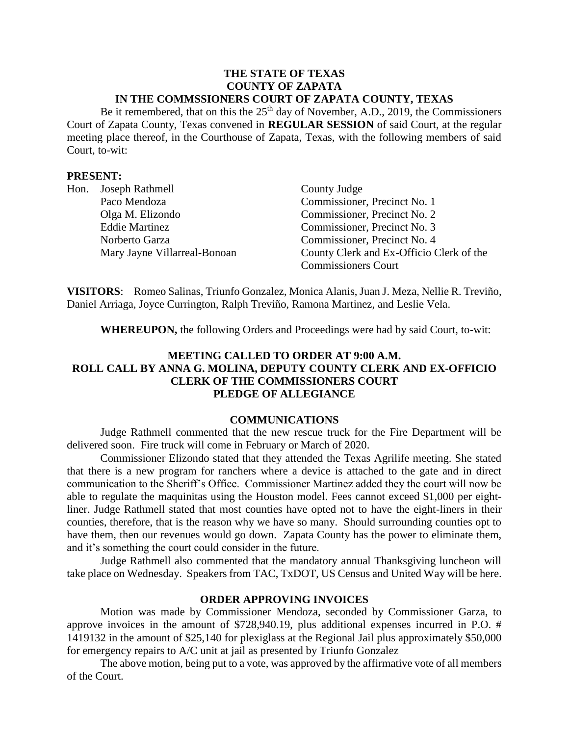#### **THE STATE OF TEXAS COUNTY OF ZAPATA IN THE COMMSSIONERS COURT OF ZAPATA COUNTY, TEXAS**

Be it remembered, that on this the  $25<sup>th</sup>$  day of November, A.D., 2019, the Commissioners Court of Zapata County, Texas convened in **REGULAR SESSION** of said Court, at the regular meeting place thereof, in the Courthouse of Zapata, Texas, with the following members of said Court, to-wit:

#### **PRESENT:**

| Hon. | Joseph Rathmell              | County Judge                             |
|------|------------------------------|------------------------------------------|
|      | Paco Mendoza                 | Commissioner, Precinct No. 1             |
|      | Olga M. Elizondo             | Commissioner, Precinct No. 2             |
|      | <b>Eddie Martinez</b>        | Commissioner, Precinct No. 3             |
|      | Norberto Garza               | Commissioner, Precinct No. 4             |
|      | Mary Jayne Villarreal-Bonoan | County Clerk and Ex-Officio Clerk of the |
|      |                              | <b>Commissioners Court</b>               |

**VISITORS**: Romeo Salinas, Triunfo Gonzalez, Monica Alanis, Juan J. Meza, Nellie R. Treviño, Daniel Arriaga, Joyce Currington, Ralph Treviño, Ramona Martinez, and Leslie Vela.

**WHEREUPON,** the following Orders and Proceedings were had by said Court, to-wit:

# **MEETING CALLED TO ORDER AT 9:00 A.M. ROLL CALL BY ANNA G. MOLINA, DEPUTY COUNTY CLERK AND EX-OFFICIO CLERK OF THE COMMISSIONERS COURT PLEDGE OF ALLEGIANCE**

#### **COMMUNICATIONS**

Judge Rathmell commented that the new rescue truck for the Fire Department will be delivered soon. Fire truck will come in February or March of 2020.

Commissioner Elizondo stated that they attended the Texas Agrilife meeting. She stated that there is a new program for ranchers where a device is attached to the gate and in direct communication to the Sheriff's Office. Commissioner Martinez added they the court will now be able to regulate the maquinitas using the Houston model. Fees cannot exceed \$1,000 per eightliner. Judge Rathmell stated that most counties have opted not to have the eight-liners in their counties, therefore, that is the reason why we have so many. Should surrounding counties opt to have them, then our revenues would go down. Zapata County has the power to eliminate them, and it's something the court could consider in the future.

Judge Rathmell also commented that the mandatory annual Thanksgiving luncheon will take place on Wednesday. Speakers from TAC, TxDOT, US Census and United Way will be here.

#### **ORDER APPROVING INVOICES**

Motion was made by Commissioner Mendoza, seconded by Commissioner Garza, to approve invoices in the amount of \$728,940.19, plus additional expenses incurred in P.O. # 1419132 in the amount of \$25,140 for plexiglass at the Regional Jail plus approximately \$50,000 for emergency repairs to A/C unit at jail as presented by Triunfo Gonzalez

The above motion, being put to a vote, was approved by the affirmative vote of all members of the Court.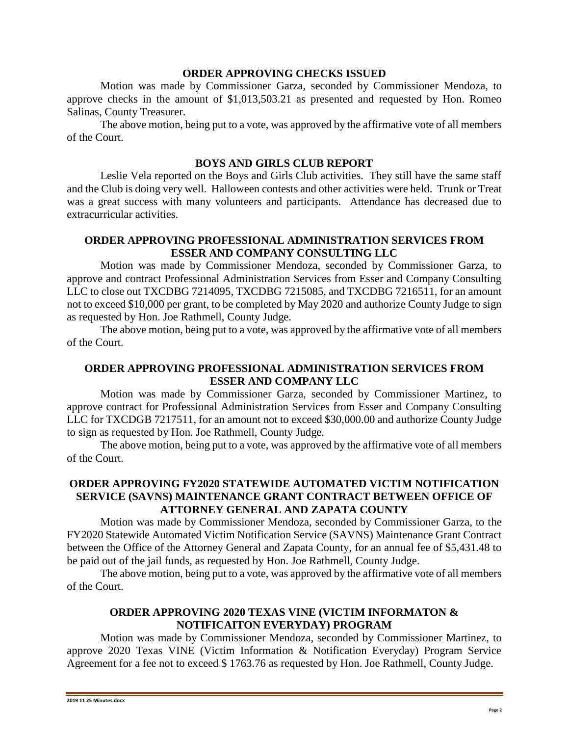#### **ORDER APPROVING CHECKS ISSUED**

Motion was made by Commissioner Garza, seconded by Commissioner Mendoza, to approve checks in the amount of \$1,013,503.21 as presented and requested by Hon. Romeo Salinas, County Treasurer.

The above motion, being put to a vote, was approved by the affirmative vote of all members of the Court.

#### **BOYS AND GIRLS CLUB REPORT**

Leslie Vela reported on the Boys and Girls Club activities. They still have the same staff and the Club is doing very well. Halloween contests and other activities were held. Trunk or Treat was a great success with many volunteers and participants. Attendance has decreased due to extracurricular activities.

## **ORDER APPROVING PROFESSIONAL ADMINISTRATION SERVICES FROM ESSER AND COMPANY CONSULTING LLC**

Motion was made by Commissioner Mendoza, seconded by Commissioner Garza, to approve and contract Professional Administration Services from Esser and Company Consulting LLC to close out TXCDBG 7214095, TXCDBG 7215085, and TXCDBG 7216511, for an amount not to exceed \$10,000 per grant, to be completed by May 2020 and authorize County Judge to sign as requested by Hon. Joe Rathmell, County Judge.

The above motion, being put to a vote, was approved by the affirmative vote of all members of the Court.

# **ORDER APPROVING PROFESSIONAL ADMINISTRATION SERVICES FROM ESSER AND COMPANY LLC**

Motion was made by Commissioner Garza, seconded by Commissioner Martinez, to approve contract for Professional Administration Services from Esser and Company Consulting LLC for TXCDGB 7217511, for an amount not to exceed \$30,000.00 and authorize County Judge to sign as requested by Hon. Joe Rathmell, County Judge.

The above motion, being put to a vote, was approved by the affirmative vote of all members of the Court.

# **ORDER APPROVING FY2020 STATEWIDE AUTOMATED VICTIM NOTIFICATION SERVICE (SAVNS) MAINTENANCE GRANT CONTRACT BETWEEN OFFICE OF ATTORNEY GENERAL AND ZAPATA COUNTY**

Motion was made by Commissioner Mendoza, seconded by Commissioner Garza, to the FY2020 Statewide Automated Victim Notification Service (SAVNS) Maintenance Grant Contract between the Office of the Attorney General and Zapata County, for an annual fee of \$5,431.48 to be paid out of the jail funds, as requested by Hon. Joe Rathmell, County Judge.

The above motion, being put to a vote, was approved by the affirmative vote of all members of the Court.

# **ORDER APPROVING 2020 TEXAS VINE (VICTIM INFORMATON & NOTIFICAITON EVERYDAY) PROGRAM**

Motion was made by Commissioner Mendoza, seconded by Commissioner Martinez, to approve 2020 Texas VINE (Victim Information & Notification Everyday) Program Service Agreement for a fee not to exceed \$ 1763.76 as requested by Hon. Joe Rathmell, County Judge.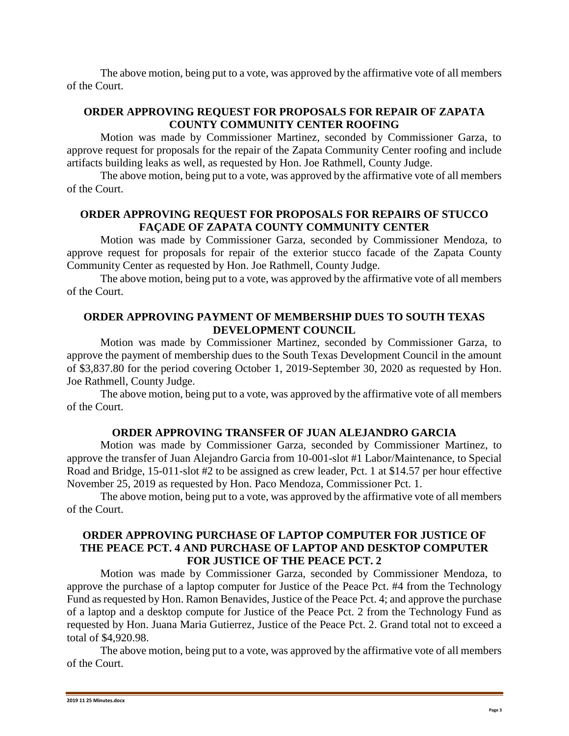The above motion, being put to a vote, was approved by the affirmative vote of all members of the Court.

# **ORDER APPROVING REQUEST FOR PROPOSALS FOR REPAIR OF ZAPATA COUNTY COMMUNITY CENTER ROOFING**

Motion was made by Commissioner Martinez, seconded by Commissioner Garza, to approve request for proposals for the repair of the Zapata Community Center roofing and include artifacts building leaks as well, as requested by Hon. Joe Rathmell, County Judge.

The above motion, being put to a vote, was approved by the affirmative vote of all members of the Court.

# **ORDER APPROVING REQUEST FOR PROPOSALS FOR REPAIRS OF STUCCO FAÇADE OF ZAPATA COUNTY COMMUNITY CENTER**

Motion was made by Commissioner Garza, seconded by Commissioner Mendoza, to approve request for proposals for repair of the exterior stucco facade of the Zapata County Community Center as requested by Hon. Joe Rathmell, County Judge.

The above motion, being put to a vote, was approved by the affirmative vote of all members of the Court.

# **ORDER APPROVING PAYMENT OF MEMBERSHIP DUES TO SOUTH TEXAS DEVELOPMENT COUNCIL**

Motion was made by Commissioner Martinez, seconded by Commissioner Garza, to approve the payment of membership dues to the South Texas Development Council in the amount of \$3,837.80 for the period covering October 1, 2019-September 30, 2020 as requested by Hon. Joe Rathmell, County Judge.

The above motion, being put to a vote, was approved by the affirmative vote of all members of the Court.

### **ORDER APPROVING TRANSFER OF JUAN ALEJANDRO GARCIA**

Motion was made by Commissioner Garza, seconded by Commissioner Martinez, to approve the transfer of Juan Alejandro Garcia from 10-001-slot #1 Labor/Maintenance, to Special Road and Bridge, 15-011-slot #2 to be assigned as crew leader, Pct. 1 at \$14.57 per hour effective November 25, 2019 as requested by Hon. Paco Mendoza, Commissioner Pct. 1.

The above motion, being put to a vote, was approved by the affirmative vote of all members of the Court.

# **ORDER APPROVING PURCHASE OF LAPTOP COMPUTER FOR JUSTICE OF THE PEACE PCT. 4 AND PURCHASE OF LAPTOP AND DESKTOP COMPUTER FOR JUSTICE OF THE PEACE PCT. 2**

Motion was made by Commissioner Garza, seconded by Commissioner Mendoza, to approve the purchase of a laptop computer for Justice of the Peace Pct. #4 from the Technology Fund as requested by Hon. Ramon Benavides, Justice of the Peace Pct. 4; and approve the purchase of a laptop and a desktop compute for Justice of the Peace Pct. 2 from the Technology Fund as requested by Hon. Juana Maria Gutierrez, Justice of the Peace Pct. 2. Grand total not to exceed a total of \$4,920.98.

The above motion, being put to a vote, was approved by the affirmative vote of all members of the Court.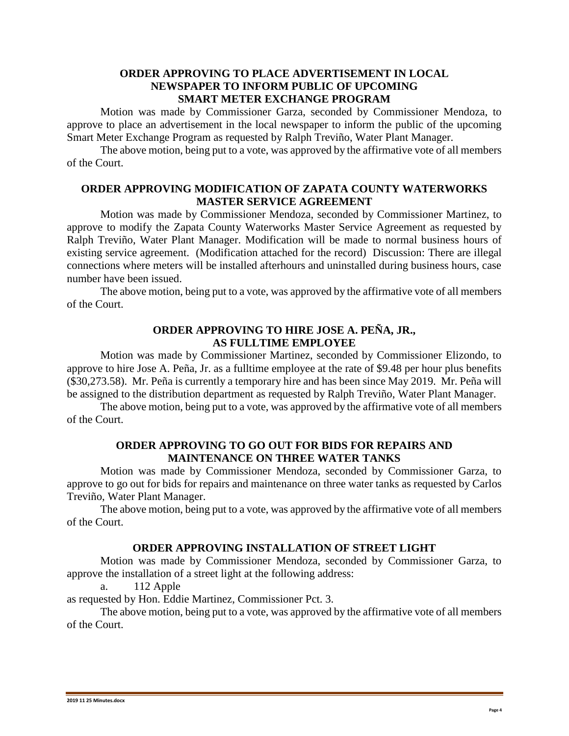#### **ORDER APPROVING TO PLACE ADVERTISEMENT IN LOCAL NEWSPAPER TO INFORM PUBLIC OF UPCOMING SMART METER EXCHANGE PROGRAM**

Motion was made by Commissioner Garza, seconded by Commissioner Mendoza, to approve to place an advertisement in the local newspaper to inform the public of the upcoming Smart Meter Exchange Program as requested by Ralph Treviño, Water Plant Manager.

The above motion, being put to a vote, was approved by the affirmative vote of all members of the Court.

## **ORDER APPROVING MODIFICATION OF ZAPATA COUNTY WATERWORKS MASTER SERVICE AGREEMENT**

Motion was made by Commissioner Mendoza, seconded by Commissioner Martinez, to approve to modify the Zapata County Waterworks Master Service Agreement as requested by Ralph Treviño, Water Plant Manager. Modification will be made to normal business hours of existing service agreement. (Modification attached for the record) Discussion: There are illegal connections where meters will be installed afterhours and uninstalled during business hours, case number have been issued.

The above motion, being put to a vote, was approved by the affirmative vote of all members of the Court.

### **ORDER APPROVING TO HIRE JOSE A. PEÑA, JR., AS FULLTIME EMPLOYEE**

Motion was made by Commissioner Martinez, seconded by Commissioner Elizondo, to approve to hire Jose A. Peña, Jr. as a fulltime employee at the rate of \$9.48 per hour plus benefits (\$30,273.58). Mr. Peña is currently a temporary hire and has been since May 2019. Mr. Peña will be assigned to the distribution department as requested by Ralph Treviño, Water Plant Manager.

The above motion, being put to a vote, was approved by the affirmative vote of all members of the Court.

### **ORDER APPROVING TO GO OUT FOR BIDS FOR REPAIRS AND MAINTENANCE ON THREE WATER TANKS**

Motion was made by Commissioner Mendoza, seconded by Commissioner Garza, to approve to go out for bids for repairs and maintenance on three water tanks as requested by Carlos Treviño, Water Plant Manager.

The above motion, being put to a vote, was approved by the affirmative vote of all members of the Court.

### **ORDER APPROVING INSTALLATION OF STREET LIGHT**

Motion was made by Commissioner Mendoza, seconded by Commissioner Garza, to approve the installation of a street light at the following address:

a. 112 Apple

as requested by Hon. Eddie Martinez, Commissioner Pct. 3.

The above motion, being put to a vote, was approved by the affirmative vote of all members of the Court.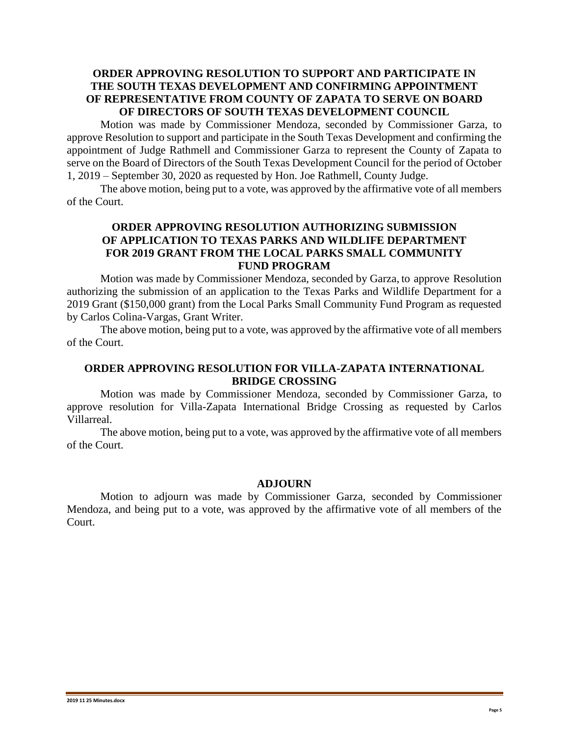# **ORDER APPROVING RESOLUTION TO SUPPORT AND PARTICIPATE IN THE SOUTH TEXAS DEVELOPMENT AND CONFIRMING APPOINTMENT OF REPRESENTATIVE FROM COUNTY OF ZAPATA TO SERVE ON BOARD OF DIRECTORS OF SOUTH TEXAS DEVELOPMENT COUNCIL**

Motion was made by Commissioner Mendoza, seconded by Commissioner Garza, to approve Resolution to support and participate in the South Texas Development and confirming the appointment of Judge Rathmell and Commissioner Garza to represent the County of Zapata to serve on the Board of Directors of the South Texas Development Council for the period of October 1, 2019 – September 30, 2020 as requested by Hon. Joe Rathmell, County Judge.

The above motion, being put to a vote, was approved by the affirmative vote of all members of the Court.

### **ORDER APPROVING RESOLUTION AUTHORIZING SUBMISSION OF APPLICATION TO TEXAS PARKS AND WILDLIFE DEPARTMENT FOR 2019 GRANT FROM THE LOCAL PARKS SMALL COMMUNITY FUND PROGRAM**

Motion was made by Commissioner Mendoza, seconded by Garza, to approve Resolution authorizing the submission of an application to the Texas Parks and Wildlife Department for a 2019 Grant (\$150,000 grant) from the Local Parks Small Community Fund Program as requested by Carlos Colina-Vargas, Grant Writer.

The above motion, being put to a vote, was approved by the affirmative vote of all members of the Court.

# **ORDER APPROVING RESOLUTION FOR VILLA-ZAPATA INTERNATIONAL BRIDGE CROSSING**

Motion was made by Commissioner Mendoza, seconded by Commissioner Garza, to approve resolution for Villa-Zapata International Bridge Crossing as requested by Carlos Villarreal.

The above motion, being put to a vote, was approved by the affirmative vote of all members of the Court.

#### **ADJOURN**

Motion to adjourn was made by Commissioner Garza, seconded by Commissioner Mendoza, and being put to a vote, was approved by the affirmative vote of all members of the Court.